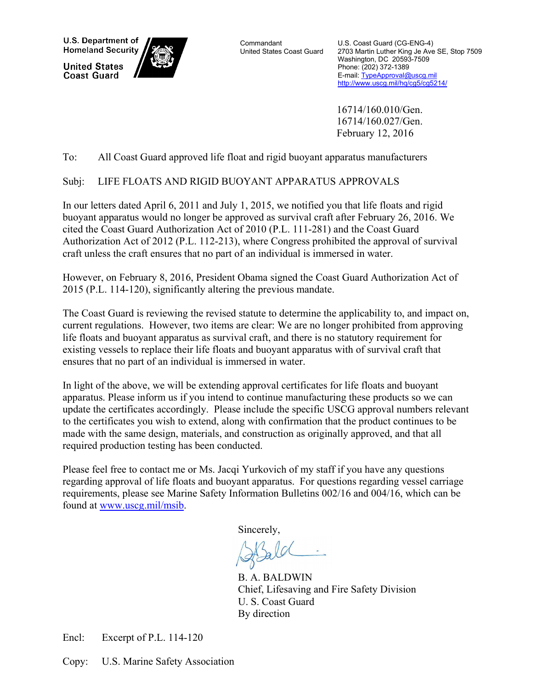U.S. Department of **Homeland Security** 

**United States Coast Guard** 



**Commandant** United States Coast Guard U.S. Coast Guard (CG-ENG-4) 2703 Martin Luther King Je Ave SE, Stop 7509 Washington, DC 20593-7509 Phone: (202) 372-1389 E-mail: TypeApproval@uscg.mil http://www.uscg.mil/hq/cg5/cg5214/

 16714/160.010/Gen. 16714/160.027/Gen. February 12, 2016

## To: All Coast Guard approved life float and rigid buoyant apparatus manufacturers

# Subj: LIFE FLOATS AND RIGID BUOYANT APPARATUS APPROVALS

In our letters dated April 6, 2011 and July 1, 2015, we notified you that life floats and rigid buoyant apparatus would no longer be approved as survival craft after February 26, 2016. We cited the Coast Guard Authorization Act of 2010 (P.L. 111-281) and the Coast Guard Authorization Act of 2012 (P.L. 112-213), where Congress prohibited the approval of survival craft unless the craft ensures that no part of an individual is immersed in water.

However, on February 8, 2016, President Obama signed the Coast Guard Authorization Act of 2015 (P.L. 114-120), significantly altering the previous mandate.

The Coast Guard is reviewing the revised statute to determine the applicability to, and impact on, current regulations. However, two items are clear: We are no longer prohibited from approving life floats and buoyant apparatus as survival craft, and there is no statutory requirement for existing vessels to replace their life floats and buoyant apparatus with of survival craft that ensures that no part of an individual is immersed in water.

In light of the above, we will be extending approval certificates for life floats and buoyant apparatus. Please inform us if you intend to continue manufacturing these products so we can update the certificates accordingly. Please include the specific USCG approval numbers relevant to the certificates you wish to extend, along with confirmation that the product continues to be made with the same design, materials, and construction as originally approved, and that all required production testing has been conducted.

Please feel free to contact me or Ms. Jacqi Yurkovich of my staff if you have any questions regarding approval of life floats and buoyant apparatus. For questions regarding vessel carriage requirements, please see Marine Safety Information Bulletins 002/16 and 004/16, which can be found at www.uscg.mil/msib.

Sincerely,

 B. A. BALDWIN Chief, Lifesaving and Fire Safety Division U. S. Coast Guard By direction

Encl: Excerpt of P.L. 114-120

Copy: U.S. Marine Safety Association